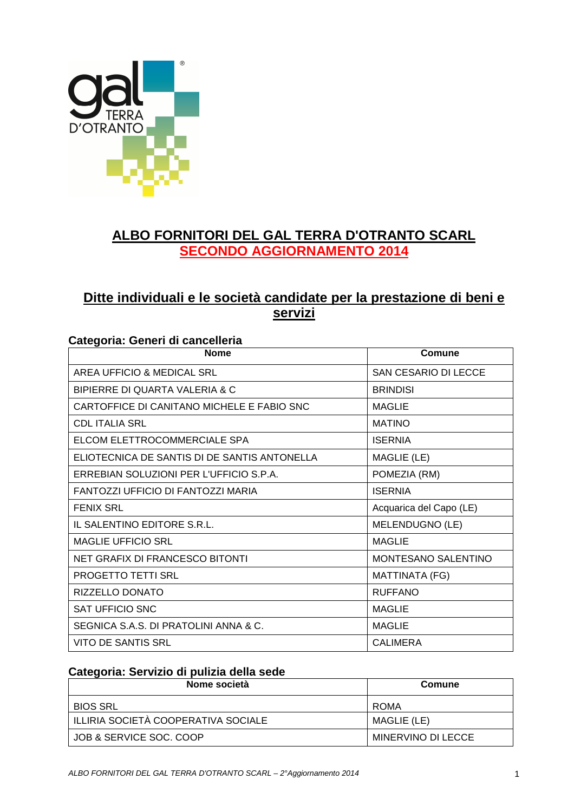

## **ALBO FORNITORI DEL GAL TERRA D'OTRANTO SCARL SECONDO AGGIORNAMENTO 2014**

### **Ditte individuali e le società candidate per la prestazione di beni e servizi**

#### **Categoria: Generi di cancelleria**

| <b>Nome</b>                                  | Comune                      |
|----------------------------------------------|-----------------------------|
| AREA UFFICIO & MEDICAL SRL                   | <b>SAN CESARIO DI LECCE</b> |
| BIPIERRE DI QUARTA VALERIA & C               | <b>BRINDISI</b>             |
| CARTOFFICE DI CANITANO MICHELE E FABIO SNC   | <b>MAGLIE</b>               |
| <b>CDL ITALIA SRL</b>                        | <b>MATINO</b>               |
| ELCOM ELETTROCOMMERCIALE SPA                 | <b>ISERNIA</b>              |
| ELIOTECNICA DE SANTIS DI DE SANTIS ANTONELLA | MAGLIE (LE)                 |
| ERREBIAN SOLUZIONI PER L'UFFICIO S.P.A.      | POMEZIA (RM)                |
| FANTOZZI UFFICIO DI FANTOZZI MARIA           | <b>ISERNIA</b>              |
| <b>FENIX SRL</b>                             | Acquarica del Capo (LE)     |
| IL SALENTINO EDITORE S.R.L.                  | MELENDUGNO (LE)             |
| <b>MAGLIE UFFICIO SRL</b>                    | <b>MAGLIE</b>               |
| NET GRAFIX DI FRANCESCO BITONTI              | <b>MONTESANO SALENTINO</b>  |
| PROGETTO TETTI SRL                           | MATTINATA (FG)              |
| RIZZELLO DONATO                              | <b>RUFFANO</b>              |
| SAT UFFICIO SNC                              | <b>MAGLIE</b>               |
| SEGNICA S.A.S. DI PRATOLINI ANNA & C.        | <b>MAGLIE</b>               |
| VITO DE SANTIS SRL                           | <b>CALIMERA</b>             |

#### **Categoria: Servizio di pulizia della sede**

| Nome società                        | Comune             |
|-------------------------------------|--------------------|
| BIOS SRL                            | ROMA               |
| ILLIRIA SOCIETÀ COOPERATIVA SOCIALE | MAGLIE (LE)        |
| JOB & SERVICE SOC. COOP             | MINERVINO DI LECCE |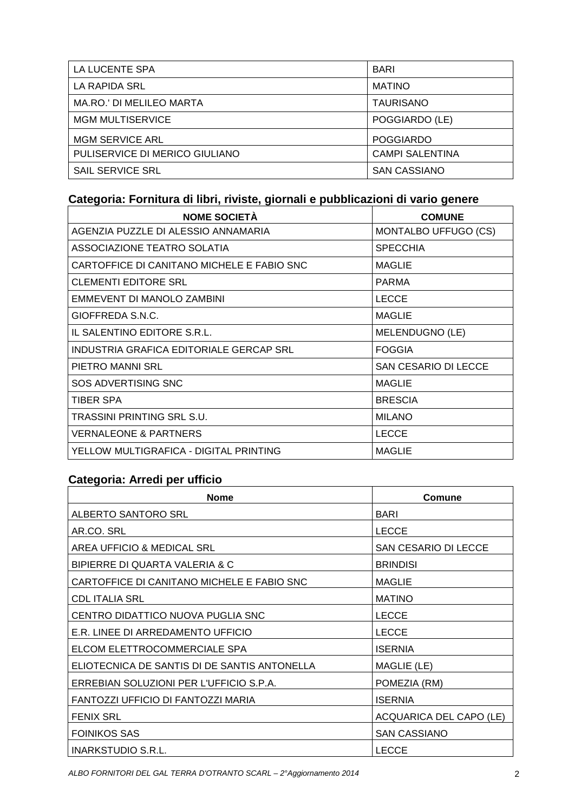| LA LUCENTE SPA                  | <b>BARI</b>            |
|---------------------------------|------------------------|
| LA RAPIDA SRL                   | <b>MATINO</b>          |
| <b>MA.RO.' DI MELILEO MARTA</b> | <b>TAURISANO</b>       |
| <b>MGM MULTISERVICE</b>         | POGGIARDO (LE)         |
| <b>MGM SERVICE ARL</b>          | <b>POGGIARDO</b>       |
| PULISERVICE DI MERICO GIULIANO  | <b>CAMPI SALENTINA</b> |
| SAIL SERVICE SRL                | <b>SAN CASSIANO</b>    |

### **Categoria: Fornitura di libri, riviste, giornali e pubblicazioni di vario genere**

| <b>NOME SOCIETÀ</b>                        | <b>COMUNE</b>        |
|--------------------------------------------|----------------------|
| AGENZIA PUZZLE DI ALESSIO ANNAMARIA        | MONTALBO UFFUGO (CS) |
| ASSOCIAZIONE TEATRO SOLATIA                | <b>SPECCHIA</b>      |
| CARTOFFICE DI CANITANO MICHELE E FABIO SNC | <b>MAGLIE</b>        |
| <b>CLEMENTI EDITORE SRL</b>                | <b>PARMA</b>         |
| EMMEVENT DI MANOLO ZAMBINI                 | <b>LECCE</b>         |
| GIOFFREDA S.N.C.                           | <b>MAGLIE</b>        |
| IL SALENTINO EDITORE S.R.L.                | MELENDUGNO (LE)      |
| INDUSTRIA GRAFICA EDITORIALE GERCAP SRL    | <b>FOGGIA</b>        |
| PIETRO MANNI SRL                           | SAN CESARIO DI LECCE |
| SOS ADVERTISING SNC                        | <b>MAGLIE</b>        |
| TIBER SPA                                  | <b>BRESCIA</b>       |
| TRASSINI PRINTING SRL S.U.                 | <b>MILANO</b>        |
| <b>VERNALEONE &amp; PARTNERS</b>           | <b>LECCE</b>         |
| YELLOW MULTIGRAFICA - DIGITAL PRINTING     | <b>MAGLIE</b>        |

### **Categoria: Arredi per ufficio**

| <b>Nome</b>                                  | Comune                  |
|----------------------------------------------|-------------------------|
| ALBERTO SANTORO SRL                          | <b>BARI</b>             |
| AR.CO. SRL                                   | <b>LECCE</b>            |
| AREA UFFICIO & MEDICAL SRL                   | SAN CESARIO DI LECCE    |
| BIPIERRE DI QUARTA VALERIA & C               | <b>BRINDISI</b>         |
| CARTOFFICE DI CANITANO MICHELE E FABIO SNC   | <b>MAGLIE</b>           |
| CDL ITALIA SRL                               | <b>MATINO</b>           |
| CENTRO DIDATTICO NUOVA PUGLIA SNC            | <b>LECCE</b>            |
| E.R. LINEE DI ARREDAMENTO UFFICIO            | <b>LECCE</b>            |
| ELCOM ELETTROCOMMERCIALE SPA                 | <b>ISERNIA</b>          |
| ELIOTECNICA DE SANTIS DI DE SANTIS ANTONELLA | MAGLIE (LE)             |
| ERREBIAN SOLUZIONI PER L'UFFICIO S.P.A.      | POMEZIA (RM)            |
| FANTOZZI UFFICIO DI FANTOZZI MARIA           | <b>ISERNIA</b>          |
| <b>FENIX SRL</b>                             | ACQUARICA DEL CAPO (LE) |
| <b>FOINIKOS SAS</b>                          | <b>SAN CASSIANO</b>     |
| INARKSTUDIO S.R.L.                           | <b>LECCE</b>            |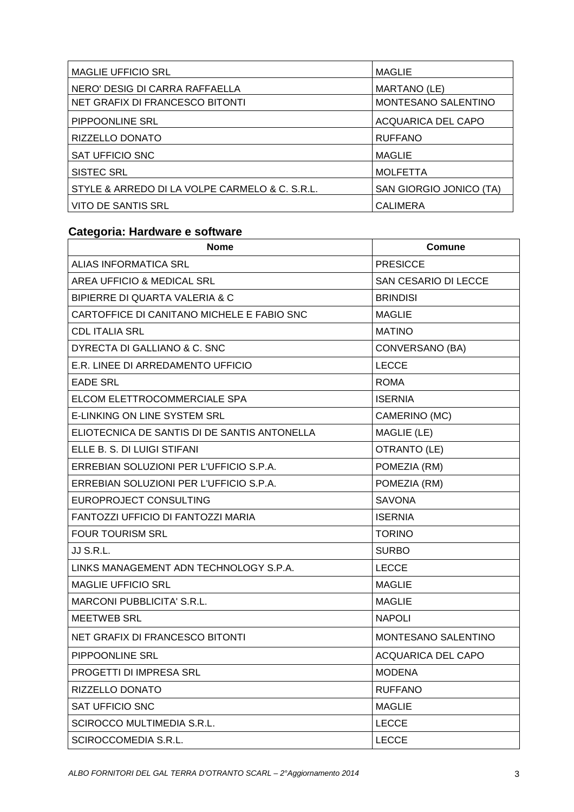| <b>MAGLIE UFFICIO SRL</b>                      | <b>MAGLIE</b>              |
|------------------------------------------------|----------------------------|
| NERO' DESIG DI CARRA RAFFAELLA                 | MARTANO (LE)               |
| NET GRAFIX DI FRANCESCO BITONTI                | <b>MONTESANO SALENTINO</b> |
| PIPPOONLINE SRL                                | <b>ACQUARICA DEL CAPO</b>  |
| RIZZELLO DONATO                                | <b>RUFFANO</b>             |
| SAT UFFICIO SNC                                | <b>MAGLIE</b>              |
| <b>SISTEC SRL</b>                              | <b>MOLFETTA</b>            |
| STYLE & ARREDO DI LA VOLPE CARMELO & C. S.R.L. | SAN GIORGIO JONICO (TA)    |
| <b>VITO DE SANTIS SRL</b>                      | <b>CALIMERA</b>            |

# **Categoria: Hardware e software**

| <b>Nome</b>                                  | <b>Comune</b>             |
|----------------------------------------------|---------------------------|
| <b>ALIAS INFORMATICA SRL</b>                 | <b>PRESICCE</b>           |
| AREA UFFICIO & MEDICAL SRL                   | SAN CESARIO DI LECCE      |
| BIPIERRE DI QUARTA VALERIA & C               | <b>BRINDISI</b>           |
| CARTOFFICE DI CANITANO MICHELE E FABIO SNC   | <b>MAGLIE</b>             |
| <b>CDL ITALIA SRL</b>                        | <b>MATINO</b>             |
| DYRECTA DI GALLIANO & C. SNC                 | CONVERSANO (BA)           |
| E.R. LINEE DI ARREDAMENTO UFFICIO            | <b>LECCE</b>              |
| <b>EADE SRL</b>                              | <b>ROMA</b>               |
| ELCOM ELETTROCOMMERCIALE SPA                 | <b>ISERNIA</b>            |
| <b>E-LINKING ON LINE SYSTEM SRL</b>          | CAMERINO (MC)             |
| ELIOTECNICA DE SANTIS DI DE SANTIS ANTONELLA | MAGLIE (LE)               |
| ELLE B. S. DI LUIGI STIFANI                  | OTRANTO (LE)              |
| ERREBIAN SOLUZIONI PER L'UFFICIO S.P.A.      | POMEZIA (RM)              |
| ERREBIAN SOLUZIONI PER L'UFFICIO S.P.A.      | POMEZIA (RM)              |
| EUROPROJECT CONSULTING                       | <b>SAVONA</b>             |
| FANTOZZI UFFICIO DI FANTOZZI MARIA           | <b>ISERNIA</b>            |
| <b>FOUR TOURISM SRL</b>                      | <b>TORINO</b>             |
| JJ S.R.L.                                    | <b>SURBO</b>              |
| LINKS MANAGEMENT ADN TECHNOLOGY S.P.A.       | <b>LECCE</b>              |
| <b>MAGLIE UFFICIO SRL</b>                    | <b>MAGLIE</b>             |
| <b>MARCONI PUBBLICITA' S.R.L.</b>            | <b>MAGLIE</b>             |
| <b>MEETWEB SRL</b>                           | <b>NAPOLI</b>             |
| <b>NET GRAFIX DI FRANCESCO BITONTI</b>       | MONTESANO SALENTINO       |
| PIPPOONLINE SRL                              | <b>ACQUARICA DEL CAPO</b> |
| PROGETTI DI IMPRESA SRL                      | <b>MODENA</b>             |
| RIZZELLO DONATO                              | <b>RUFFANO</b>            |
| <b>SAT UFFICIO SNC</b>                       | <b>MAGLIE</b>             |
| SCIROCCO MULTIMEDIA S.R.L.                   | <b>LECCE</b>              |
| SCIROCCOMEDIA S.R.L.                         | <b>LECCE</b>              |
|                                              |                           |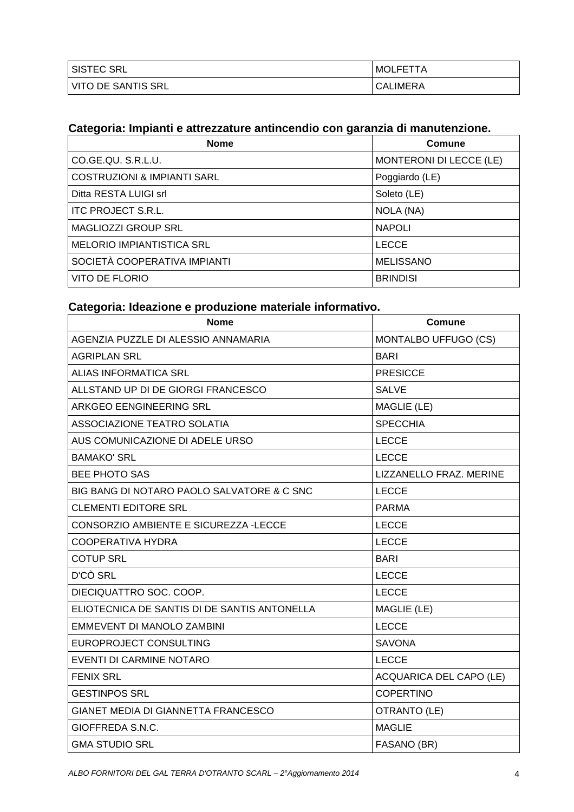| SISTEC SRL         | <b>MOLFETTA</b> |
|--------------------|-----------------|
| VITO DE SANTIS SRL | <b>CALIMERA</b> |

# **Categoria: Impianti e attrezzature antincendio con garanzia di manutenzione.**

| <b>Nome</b>                            | Comune                  |
|----------------------------------------|-------------------------|
| CO.GE.QU. S.R.L.U.                     | MONTERONI DI LECCE (LE) |
| <b>COSTRUZIONI &amp; IMPIANTI SARL</b> | Poggiardo (LE)          |
| Ditta RESTA LUIGI srl                  | Soleto (LE)             |
| <b>ITC PROJECT S.R.L.</b>              | NOLA (NA)               |
| <b>MAGLIOZZI GROUP SRL</b>             | <b>NAPOLI</b>           |
| <b>MELORIO IMPIANTISTICA SRL</b>       | <b>LECCE</b>            |
| SOCIETÀ COOPERATIVA IMPIANTI           | <b>MELISSANO</b>        |
| VITO DE FLORIO                         | <b>BRINDISI</b>         |

#### **Categoria: Ideazione e produzione materiale informativo.**

| <b>Nome</b>                                  | Comune                         |
|----------------------------------------------|--------------------------------|
| AGENZIA PUZZLE DI ALESSIO ANNAMARIA          | MONTALBO UFFUGO (CS)           |
| <b>AGRIPLAN SRL</b>                          | <b>BARI</b>                    |
| <b>ALIAS INFORMATICA SRL</b>                 | <b>PRESICCE</b>                |
| ALLSTAND UP DI DE GIORGI FRANCESCO           | <b>SALVE</b>                   |
| ARKGEO EENGINEERING SRL                      | MAGLIE (LE)                    |
| ASSOCIAZIONE TEATRO SOLATIA                  | <b>SPECCHIA</b>                |
| AUS COMUNICAZIONE DI ADELE URSO              | <b>LECCE</b>                   |
| <b>BAMAKO' SRL</b>                           | <b>LECCE</b>                   |
| <b>BEE PHOTO SAS</b>                         | LIZZANELLO FRAZ. MERINE        |
| BIG BANG DI NOTARO PAOLO SALVATORE & C SNC   | <b>LECCE</b>                   |
| <b>CLEMENTI EDITORE SRL</b>                  | <b>PARMA</b>                   |
| CONSORZIO AMBIENTE E SICUREZZA -LECCE        | <b>LECCE</b>                   |
| <b>COOPERATIVA HYDRA</b>                     | <b>LECCE</b>                   |
| <b>COTUP SRL</b>                             | <b>BARI</b>                    |
| D'CÒ SRL                                     | <b>LECCE</b>                   |
| DIECIQUATTRO SOC. COOP.                      | <b>LECCE</b>                   |
| ELIOTECNICA DE SANTIS DI DE SANTIS ANTONELLA | MAGLIE (LE)                    |
| EMMEVENT DI MANOLO ZAMBINI                   | <b>LECCE</b>                   |
| EUROPROJECT CONSULTING                       | <b>SAVONA</b>                  |
| EVENTI DI CARMINE NOTARO                     | <b>LECCE</b>                   |
| <b>FENIX SRL</b>                             | <b>ACQUARICA DEL CAPO (LE)</b> |
| <b>GESTINPOS SRL</b>                         | <b>COPERTINO</b>               |
| GIANET MEDIA DI GIANNETTA FRANCESCO          | OTRANTO (LE)                   |
| GIOFFREDA S.N.C.                             | <b>MAGLIE</b>                  |
| <b>GMA STUDIO SRL</b>                        | FASANO (BR)                    |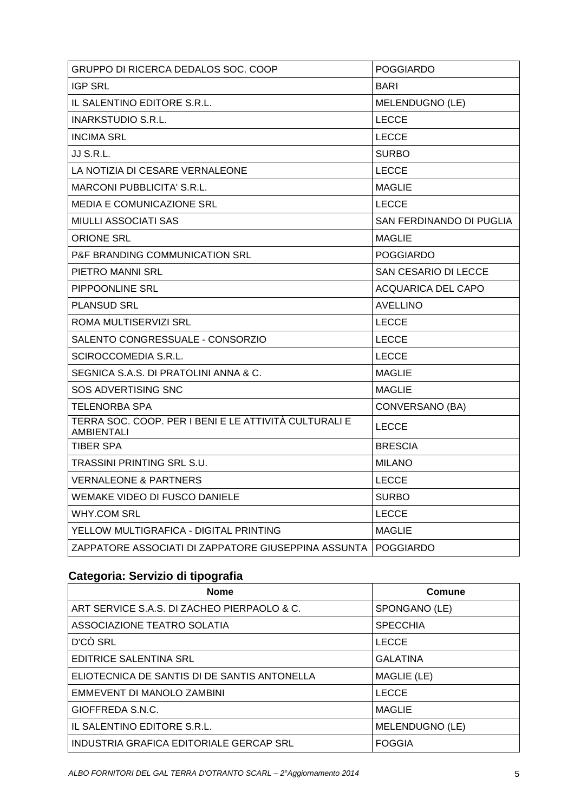| GRUPPO DI RICERCA DEDALOS SOC. COOP                                        | <b>POGGIARDO</b>         |
|----------------------------------------------------------------------------|--------------------------|
| <b>IGP SRL</b>                                                             | BARI                     |
| IL SALENTINO EDITORE S.R.L.                                                | MELENDUGNO (LE)          |
| <b>INARKSTUDIO S.R.L.</b>                                                  | <b>LECCE</b>             |
| <b>INCIMA SRL</b>                                                          | <b>LECCE</b>             |
| JJ S.R.L.                                                                  | <b>SURBO</b>             |
| LA NOTIZIA DI CESARE VERNALEONE                                            | <b>LECCE</b>             |
| <b>MARCONI PUBBLICITA' S.R.L.</b>                                          | <b>MAGLIE</b>            |
| <b>MEDIA E COMUNICAZIONE SRL</b>                                           | <b>LECCE</b>             |
| <b>MIULLI ASSOCIATI SAS</b>                                                | SAN FERDINANDO DI PUGLIA |
| <b>ORIONE SRL</b>                                                          | <b>MAGLIE</b>            |
| P&F BRANDING COMMUNICATION SRL                                             | <b>POGGIARDO</b>         |
| PIETRO MANNI SRL                                                           | SAN CESARIO DI LECCE     |
| PIPPOONLINE SRL                                                            | ACQUARICA DEL CAPO       |
| <b>PLANSUD SRL</b>                                                         | <b>AVELLINO</b>          |
| ROMA MULTISERVIZI SRL                                                      | <b>LECCE</b>             |
| SALENTO CONGRESSUALE - CONSORZIO                                           | <b>LECCE</b>             |
| SCIROCCOMEDIA S.R.L.                                                       | <b>LECCE</b>             |
| SEGNICA S.A.S. DI PRATOLINI ANNA & C.                                      | <b>MAGLIE</b>            |
| SOS ADVERTISING SNC                                                        | <b>MAGLIE</b>            |
| TELENORBA SPA                                                              | CONVERSANO (BA)          |
| TERRA SOC. COOP. PER I BENI E LE ATTIVITÀ CULTURALI E<br><b>AMBIENTALI</b> | <b>LECCE</b>             |
| TIBER SPA                                                                  | <b>BRESCIA</b>           |
| TRASSINI PRINTING SRL S.U.                                                 | <b>MILANO</b>            |
| <b>VERNALEONE &amp; PARTNERS</b>                                           | <b>LECCE</b>             |
| WEMAKE VIDEO DI FUSCO DANIELE                                              | <b>SURBO</b>             |
| <b>WHY.COM SRL</b>                                                         | <b>LECCE</b>             |
| YELLOW MULTIGRAFICA - DIGITAL PRINTING                                     | <b>MAGLIE</b>            |
| ZAPPATORE ASSOCIATI DI ZAPPATORE GIUSEPPINA ASSUNTA I                      | <b>POGGIARDO</b>         |

# **Categoria: Servizio di tipografia**

| <b>Nome</b>                                  | Comune          |
|----------------------------------------------|-----------------|
| ART SERVICE S.A.S. DI ZACHEO PIERPAOLO & C.  | SPONGANO (LE)   |
| ASSOCIAZIONE TEATRO SOLATIA                  | <b>SPECCHIA</b> |
| D'CÒ SRL                                     | <b>LECCE</b>    |
| <b>EDITRICE SALENTINA SRL</b>                | <b>GALATINA</b> |
| ELIOTECNICA DE SANTIS DI DE SANTIS ANTONELLA | MAGLIE (LE)     |
| EMMEVENT DI MANOLO ZAMBINI                   | <b>LECCE</b>    |
| GIOFFREDA S.N.C.                             | <b>MAGLIE</b>   |
| IL SALENTINO EDITORE S.R.L.                  | MELENDUGNO (LE) |
| INDUSTRIA GRAFICA EDITORIALE GERCAP SRL      | <b>FOGGIA</b>   |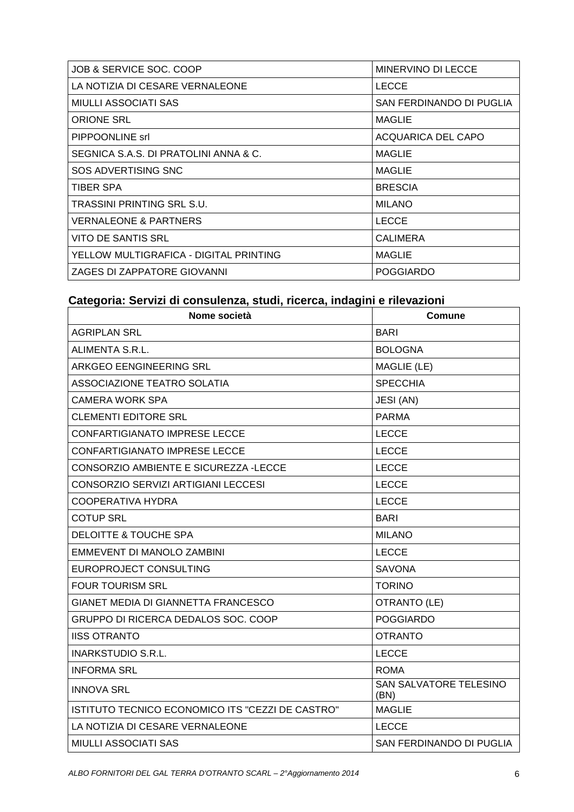| JOB & SERVICE SOC. COOP                | MINERVINO DI LECCE       |
|----------------------------------------|--------------------------|
| LA NOTIZIA DI CESARE VERNALEONE        | <b>LECCE</b>             |
| <b>MIULLI ASSOCIATI SAS</b>            | SAN FERDINANDO DI PUGLIA |
| <b>ORIONE SRL</b>                      | <b>MAGLIE</b>            |
| PIPPOONLINE Srl                        | ACQUARICA DEL CAPO       |
| SEGNICA S.A.S. DI PRATOLINI ANNA & C.  | <b>MAGLIE</b>            |
| SOS ADVERTISING SNC                    | <b>MAGLIE</b>            |
| TIBER SPA                              | <b>BRESCIA</b>           |
| TRASSINI PRINTING SRL S.U.             | <b>MILANO</b>            |
| <b>VERNALEONE &amp; PARTNERS</b>       | <b>LECCE</b>             |
| <b>VITO DE SANTIS SRL</b>              | <b>CALIMERA</b>          |
| YELLOW MULTIGRAFICA - DIGITAL PRINTING | <b>MAGLIE</b>            |
| ZAGES DI ZAPPATORE GIOVANNI            | <b>POGGIARDO</b>         |

#### **Categoria: Servizi di consulenza, studi, ricerca, indagini e rilevazioni**

| Nome società                                     | <b>Comune</b>                  |
|--------------------------------------------------|--------------------------------|
| <b>AGRIPLAN SRL</b>                              | <b>BARI</b>                    |
| ALIMENTA S.R.L.                                  | <b>BOLOGNA</b>                 |
| ARKGEO EENGINEERING SRL                          | MAGLIE (LE)                    |
| ASSOCIAZIONE TEATRO SOLATIA                      | <b>SPECCHIA</b>                |
| CAMERA WORK SPA                                  | JESI (AN)                      |
| <b>CLEMENTI EDITORE SRL</b>                      | <b>PARMA</b>                   |
| <b>CONFARTIGIANATO IMPRESE LECCE</b>             | <b>LECCE</b>                   |
| <b>CONFARTIGIANATO IMPRESE LECCE</b>             | <b>LECCE</b>                   |
| CONSORZIO AMBIENTE E SICUREZZA -LECCE            | <b>LECCE</b>                   |
| CONSORZIO SERVIZI ARTIGIANI LECCESI              | <b>LECCE</b>                   |
| COOPERATIVA HYDRA                                | <b>LECCE</b>                   |
| <b>COTUP SRL</b>                                 | <b>BARI</b>                    |
| <b>DELOITTE &amp; TOUCHE SPA</b>                 | <b>MILANO</b>                  |
| EMMEVENT DI MANOLO ZAMBINI                       | <b>LECCE</b>                   |
| EUROPROJECT CONSULTING                           | <b>SAVONA</b>                  |
| <b>FOUR TOURISM SRL</b>                          | <b>TORINO</b>                  |
| <b>GIANET MEDIA DI GIANNETTA FRANCESCO</b>       | OTRANTO (LE)                   |
| GRUPPO DI RICERCA DEDALOS SOC. COOP              | <b>POGGIARDO</b>               |
| <b>IISS OTRANTO</b>                              | <b>OTRANTO</b>                 |
| <b>INARKSTUDIO S.R.L.</b>                        | <b>LECCE</b>                   |
| <b>INFORMA SRL</b>                               | <b>ROMA</b>                    |
| <b>INNOVA SRL</b>                                | SAN SALVATORE TELESINO<br>(BN) |
| ISTITUTO TECNICO ECONOMICO ITS "CEZZI DE CASTRO" | <b>MAGLIE</b>                  |
| LA NOTIZIA DI CESARE VERNALEONE                  | <b>LECCE</b>                   |
| <b>MIULLI ASSOCIATI SAS</b>                      | SAN FERDINANDO DI PUGLIA       |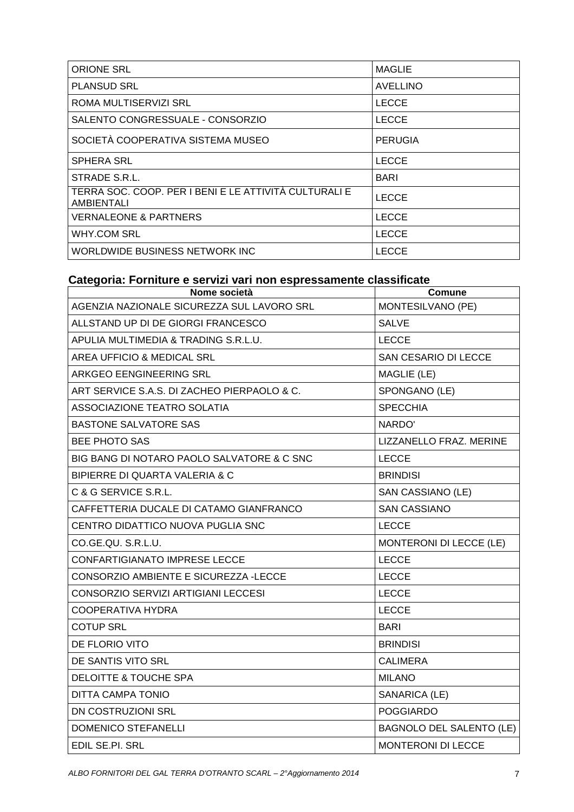| <b>ORIONE SRL</b>                                                   | <b>MAGLIE</b>   |
|---------------------------------------------------------------------|-----------------|
| <b>PLANSUD SRL</b>                                                  | <b>AVELLINO</b> |
| ROMA MULTISERVIZI SRL                                               | <b>LECCE</b>    |
| SALENTO CONGRESSUALE - CONSORZIO                                    | <b>LECCE</b>    |
| SOCIETÀ COOPERATIVA SISTEMA MUSEO                                   | <b>PERUGIA</b>  |
| <b>SPHERA SRL</b>                                                   | <b>LECCE</b>    |
| STRADE S.R.L.                                                       | BARI            |
| TERRA SOC. COOP. PER I BENI E LE ATTIVITÀ CULTURALI E<br>AMBIENTALI | <b>LECCE</b>    |
| <b>VERNALEONE &amp; PARTNERS</b>                                    | <b>LECCE</b>    |
| WHY.COM SRL                                                         | <b>LECCE</b>    |
| WORLDWIDE BUSINESS NETWORK INC                                      | LECCE           |

#### **Categoria: Forniture e servizi vari non espressamente classificate**

| Nome società                                | Comune                          |
|---------------------------------------------|---------------------------------|
| AGENZIA NAZIONALE SICUREZZA SUL LAVORO SRL  | MONTESILVANO (PE)               |
| ALLSTAND UP DI DE GIORGI FRANCESCO          | <b>SALVE</b>                    |
| APULIA MULTIMEDIA & TRADING S.R.L.U.        | <b>LECCE</b>                    |
| AREA UFFICIO & MEDICAL SRL                  | SAN CESARIO DI LECCE            |
| ARKGEO EENGINEERING SRL                     | MAGLIE (LE)                     |
| ART SERVICE S.A.S. DI ZACHEO PIERPAOLO & C. | SPONGANO (LE)                   |
| ASSOCIAZIONE TEATRO SOLATIA                 | <b>SPECCHIA</b>                 |
| <b>BASTONE SALVATORE SAS</b>                | NARDO'                          |
| <b>BEE PHOTO SAS</b>                        | LIZZANELLO FRAZ. MERINE         |
| BIG BANG DI NOTARO PAOLO SALVATORE & C SNC  | <b>LECCE</b>                    |
| BIPIERRE DI QUARTA VALERIA & C              | <b>BRINDISI</b>                 |
| C & G SERVICE S.R.L.                        | SAN CASSIANO (LE)               |
| CAFFETTERIA DUCALE DI CATAMO GIANFRANCO     | <b>SAN CASSIANO</b>             |
| CENTRO DIDATTICO NUOVA PUGLIA SNC           | <b>LECCE</b>                    |
| CO.GE.QU. S.R.L.U.                          | <b>MONTERONI DI LECCE (LE)</b>  |
| CONFARTIGIANATO IMPRESE LECCE               | <b>LECCE</b>                    |
| CONSORZIO AMBIENTE E SICUREZZA -LECCE       | <b>LECCE</b>                    |
| CONSORZIO SERVIZI ARTIGIANI LECCESI         | <b>LECCE</b>                    |
| <b>COOPERATIVA HYDRA</b>                    | <b>LECCE</b>                    |
| <b>COTUP SRL</b>                            | <b>BARI</b>                     |
| DE FLORIO VITO                              | <b>BRINDISI</b>                 |
| DE SANTIS VITO SRL                          | <b>CALIMERA</b>                 |
| <b>DELOITTE &amp; TOUCHE SPA</b>            | <b>MILANO</b>                   |
| DITTA CAMPA TONIO                           | SANARICA (LE)                   |
| <b>DN COSTRUZIONI SRL</b>                   | <b>POGGIARDO</b>                |
| <b>DOMENICO STEFANELLI</b>                  | <b>BAGNOLO DEL SALENTO (LE)</b> |
| EDIL SE.PI. SRL                             | <b>MONTERONI DI LECCE</b>       |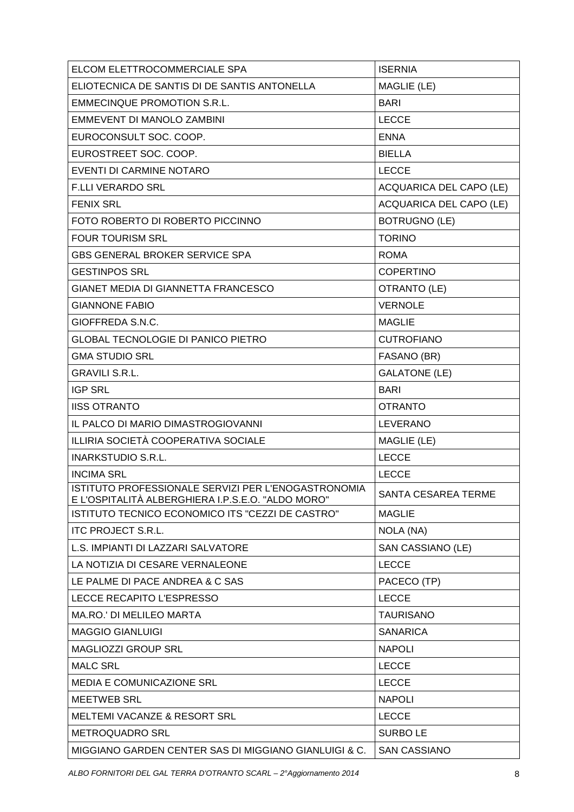| ELCOM ELETTROCOMMERCIALE SPA                                                                             | <b>ISERNIA</b>                 |
|----------------------------------------------------------------------------------------------------------|--------------------------------|
| ELIOTECNICA DE SANTIS DI DE SANTIS ANTONELLA                                                             | MAGLIE (LE)                    |
| <b>EMMECINQUE PROMOTION S.R.L.</b>                                                                       | <b>BARI</b>                    |
| EMMEVENT DI MANOLO ZAMBINI                                                                               | <b>LECCE</b>                   |
| EUROCONSULT SOC. COOP.                                                                                   | <b>ENNA</b>                    |
| EUROSTREET SOC. COOP.                                                                                    | <b>BIELLA</b>                  |
| EVENTI DI CARMINE NOTARO                                                                                 | <b>LECCE</b>                   |
| <b>F.LLI VERARDO SRL</b>                                                                                 | <b>ACQUARICA DEL CAPO (LE)</b> |
| <b>FENIX SRL</b>                                                                                         | <b>ACQUARICA DEL CAPO (LE)</b> |
| FOTO ROBERTO DI ROBERTO PICCINNO                                                                         | <b>BOTRUGNO (LE)</b>           |
| <b>FOUR TOURISM SRL</b>                                                                                  | <b>TORINO</b>                  |
| <b>GBS GENERAL BROKER SERVICE SPA</b>                                                                    | <b>ROMA</b>                    |
| <b>GESTINPOS SRL</b>                                                                                     | <b>COPERTINO</b>               |
| GIANET MEDIA DI GIANNETTA FRANCESCO                                                                      | OTRANTO (LE)                   |
| <b>GIANNONE FABIO</b>                                                                                    | <b>VERNOLE</b>                 |
| GIOFFREDA S.N.C.                                                                                         | <b>MAGLIE</b>                  |
| <b>GLOBAL TECNOLOGIE DI PANICO PIETRO</b>                                                                | <b>CUTROFIANO</b>              |
| <b>GMA STUDIO SRL</b>                                                                                    | FASANO (BR)                    |
| <b>GRAVILI S.R.L.</b>                                                                                    | <b>GALATONE (LE)</b>           |
| <b>IGP SRL</b>                                                                                           | <b>BARI</b>                    |
| <b>IISS OTRANTO</b>                                                                                      | <b>OTRANTO</b>                 |
| IL PALCO DI MARIO DIMASTROGIOVANNI                                                                       | <b>LEVERANO</b>                |
| ILLIRIA SOCIETÀ COOPERATIVA SOCIALE                                                                      | MAGLIE (LE)                    |
| <b>INARKSTUDIO S.R.L.</b>                                                                                | <b>LECCE</b>                   |
| <b>INCIMA SRL</b>                                                                                        | <b>LECCE</b>                   |
| ISTITUTO PROFESSIONALE SERVIZI PER L'ENOGASTRONOMIA<br>E L'OSPITALITÀ ALBERGHIERA I.P.S.E.O. "ALDO MORO" | SANTA CESAREA TERME            |
| ISTITUTO TECNICO ECONOMICO ITS "CEZZI DE CASTRO"                                                         | <b>MAGLIE</b>                  |
| <b>ITC PROJECT S.R.L.</b>                                                                                | NOLA (NA)                      |
| L.S. IMPIANTI DI LAZZARI SALVATORE                                                                       | SAN CASSIANO (LE)              |
| LA NOTIZIA DI CESARE VERNALEONE                                                                          | <b>LECCE</b>                   |
| LE PALME DI PACE ANDREA & C SAS                                                                          | PACECO (TP)                    |
| LECCE RECAPITO L'ESPRESSO                                                                                | <b>LECCE</b>                   |
| <b>MA.RO.' DI MELILEO MARTA</b>                                                                          | <b>TAURISANO</b>               |
| <b>MAGGIO GIANLUIGI</b>                                                                                  | <b>SANARICA</b>                |
| MAGLIOZZI GROUP SRL                                                                                      | <b>NAPOLI</b>                  |
| <b>MALC SRL</b>                                                                                          | <b>LECCE</b>                   |
| <b>MEDIA E COMUNICAZIONE SRL</b>                                                                         | <b>LECCE</b>                   |
| <b>MEETWEB SRL</b>                                                                                       | <b>NAPOLI</b>                  |
| <b>MELTEMI VACANZE &amp; RESORT SRL</b>                                                                  | <b>LECCE</b>                   |
| <b>METROQUADRO SRL</b>                                                                                   | <b>SURBOLE</b>                 |
| MIGGIANO GARDEN CENTER SAS DI MIGGIANO GIANLUIGI & C.                                                    | <b>SAN CASSIANO</b>            |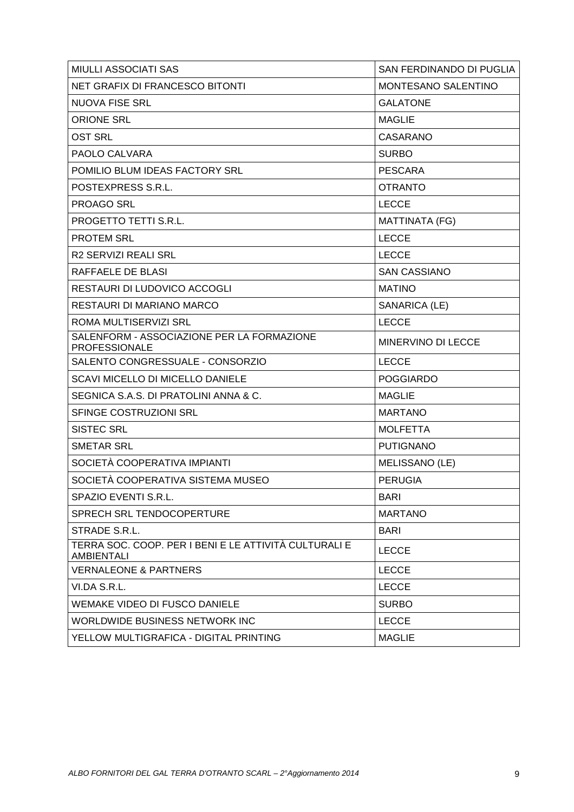| <b>MIULLI ASSOCIATI SAS</b>                                                | SAN FERDINANDO DI PUGLIA |
|----------------------------------------------------------------------------|--------------------------|
| <b>NET GRAFIX DI FRANCESCO BITONTI</b>                                     | MONTESANO SALENTINO      |
| <b>NUOVA FISE SRL</b>                                                      | <b>GALATONE</b>          |
| <b>ORIONE SRL</b>                                                          | <b>MAGLIE</b>            |
| <b>OST SRL</b>                                                             | <b>CASARANO</b>          |
| PAOLO CALVARA                                                              | <b>SURBO</b>             |
| POMILIO BLUM IDEAS FACTORY SRL                                             | <b>PESCARA</b>           |
| POSTEXPRESS S.R.L.                                                         | <b>OTRANTO</b>           |
| <b>PROAGO SRL</b>                                                          | <b>LECCE</b>             |
| PROGETTO TETTI S.R.L.                                                      | <b>MATTINATA (FG)</b>    |
| <b>PROTEM SRL</b>                                                          | <b>LECCE</b>             |
| R2 SERVIZI REALI SRL                                                       | <b>LECCE</b>             |
| RAFFAELE DE BLASI                                                          | <b>SAN CASSIANO</b>      |
| <b>RESTAURI DI LUDOVICO ACCOGLI</b>                                        | <b>MATINO</b>            |
| RESTAURI DI MARIANO MARCO                                                  | SANARICA (LE)            |
| ROMA MULTISERVIZI SRL                                                      | <b>LECCE</b>             |
| SALENFORM - ASSOCIAZIONE PER LA FORMAZIONE<br><b>PROFESSIONALE</b>         | MINERVINO DI LECCE       |
| SALENTO CONGRESSUALE - CONSORZIO                                           | <b>LECCE</b>             |
| <b>SCAVI MICELLO DI MICELLO DANIELE</b>                                    | <b>POGGIARDO</b>         |
| SEGNICA S.A.S. DI PRATOLINI ANNA & C.                                      | <b>MAGLIE</b>            |
| SFINGE COSTRUZIONI SRL                                                     | <b>MARTANO</b>           |
| <b>SISTEC SRL</b>                                                          | <b>MOLFETTA</b>          |
| <b>SMETAR SRL</b>                                                          | <b>PUTIGNANO</b>         |
| SOCIETÀ COOPERATIVA IMPIANTI                                               | MELISSANO (LE)           |
| SOCIETÀ COOPERATIVA SISTEMA MUSEO                                          | <b>PERUGIA</b>           |
| SPAZIO EVENTI S.R.L.                                                       | <b>BARI</b>              |
| <b>SPRECH SRL TENDOCOPERTURE</b>                                           | <b>MARTANO</b>           |
| STRADE S.R.L.                                                              | <b>BARI</b>              |
| TERRA SOC. COOP. PER I BENI E LE ATTIVITÀ CULTURALI E<br><b>AMBIENTALI</b> | <b>LECCE</b>             |
| <b>VERNALEONE &amp; PARTNERS</b>                                           | <b>LECCE</b>             |
| VI.DA S.R.L.                                                               | <b>LECCE</b>             |
| WEMAKE VIDEO DI FUSCO DANIELE                                              | <b>SURBO</b>             |
| WORLDWIDE BUSINESS NETWORK INC                                             | <b>LECCE</b>             |
| YELLOW MULTIGRAFICA - DIGITAL PRINTING                                     | <b>MAGLIE</b>            |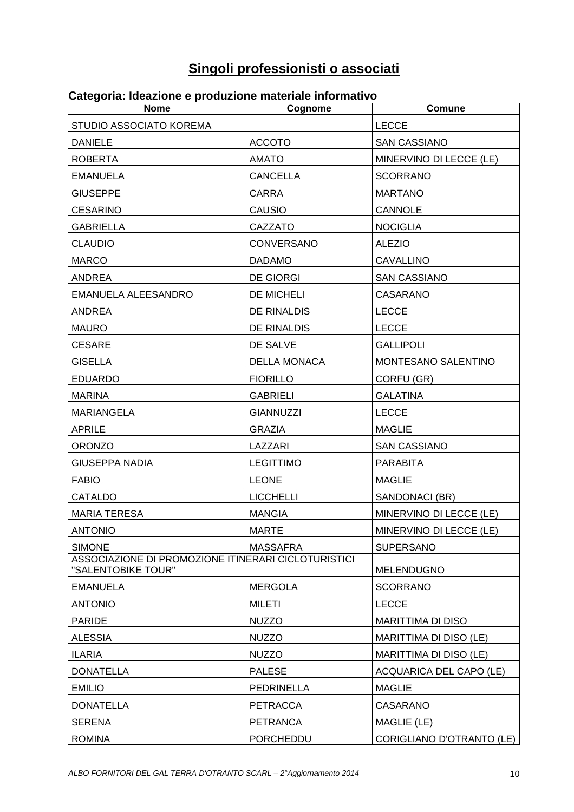# **Singoli professionisti o associati**

| <u>oalogonia. Idoaziono o produziono malendio il</u>                      |                     |                                |
|---------------------------------------------------------------------------|---------------------|--------------------------------|
| <b>Nome</b><br>STUDIO ASSOCIATO KOREMA                                    | Cognome             | Comune<br><b>LECCE</b>         |
|                                                                           |                     |                                |
| <b>DANIELE</b><br><b>ROBERTA</b>                                          | <b>ACCOTO</b>       | <b>SAN CASSIANO</b>            |
|                                                                           | <b>AMATO</b>        | MINERVINO DI LECCE (LE)        |
| <b>EMANUELA</b>                                                           | <b>CANCELLA</b>     | <b>SCORRANO</b>                |
| <b>GIUSEPPE</b>                                                           | <b>CARRA</b>        | <b>MARTANO</b>                 |
| <b>CESARINO</b>                                                           | <b>CAUSIO</b>       | <b>CANNOLE</b>                 |
| <b>GABRIELLA</b>                                                          | CAZZATO             | <b>NOCIGLIA</b>                |
| <b>CLAUDIO</b>                                                            | <b>CONVERSANO</b>   | <b>ALEZIO</b>                  |
| <b>MARCO</b>                                                              | <b>DADAMO</b>       | <b>CAVALLINO</b>               |
| <b>ANDREA</b>                                                             | <b>DE GIORGI</b>    | <b>SAN CASSIANO</b>            |
| EMANUELA ALEESANDRO                                                       | DE MICHELI          | <b>CASARANO</b>                |
| ANDREA                                                                    | DE RINALDIS         | <b>LECCE</b>                   |
| <b>MAURO</b>                                                              | <b>DE RINALDIS</b>  | <b>LECCE</b>                   |
| <b>CESARE</b>                                                             | DE SALVE            | <b>GALLIPOLI</b>               |
| <b>GISELLA</b>                                                            | <b>DELLA MONACA</b> | MONTESANO SALENTINO            |
| <b>EDUARDO</b>                                                            | <b>FIORILLO</b>     | CORFU (GR)                     |
| <b>MARINA</b>                                                             | <b>GABRIELI</b>     | <b>GALATINA</b>                |
| <b>MARIANGELA</b>                                                         | <b>GIANNUZZI</b>    | <b>LECCE</b>                   |
| <b>APRILE</b>                                                             | <b>GRAZIA</b>       | MAGLIE                         |
| <b>ORONZO</b>                                                             | LAZZARI             | <b>SAN CASSIANO</b>            |
| <b>GIUSEPPA NADIA</b>                                                     | <b>LEGITTIMO</b>    | PARABITA                       |
| <b>FABIO</b>                                                              | <b>LEONE</b>        | <b>MAGLIE</b>                  |
| CATALDO                                                                   | <b>LICCHELLI</b>    | SANDONACI (BR)                 |
| <b>MARIA TERESA</b>                                                       | <b>MANGIA</b>       | MINERVINO DI LECCE (LE)        |
| ANTONIO                                                                   | <b>MARTE</b>        | MINERVINO DI LECCE (LE)        |
| <b>SIMONE</b>                                                             | <b>MASSAFRA</b>     | <b>SUPERSANO</b>               |
| ASSOCIAZIONE DI PROMOZIONE ITINERARI CICLOTURISTICI<br>"SALENTOBIKE TOUR" |                     | MELENDUGNO                     |
| <b>EMANUELA</b>                                                           | <b>MERGOLA</b>      | <b>SCORRANO</b>                |
| <b>ANTONIO</b>                                                            | <b>MILETI</b>       | <b>LECCE</b>                   |
| <b>PARIDE</b>                                                             | <b>NUZZO</b>        | MARITTIMA DI DISO              |
| <b>ALESSIA</b>                                                            | <b>NUZZO</b>        | MARITTIMA DI DISO (LE)         |
| <b>ILARIA</b>                                                             | <b>NUZZO</b>        | MARITTIMA DI DISO (LE)         |
| <b>DONATELLA</b>                                                          | <b>PALESE</b>       | <b>ACQUARICA DEL CAPO (LE)</b> |
| <b>EMILIO</b>                                                             | <b>PEDRINELLA</b>   | <b>MAGLIE</b>                  |
| <b>DONATELLA</b>                                                          | <b>PETRACCA</b>     | <b>CASARANO</b>                |
| <b>SERENA</b>                                                             | <b>PETRANCA</b>     | MAGLIE (LE)                    |
| <b>ROMINA</b>                                                             | PORCHEDDU           | CORIGLIANO D'OTRANTO (LE)      |

#### **Categoria: Ideazione e produzione materiale informativo**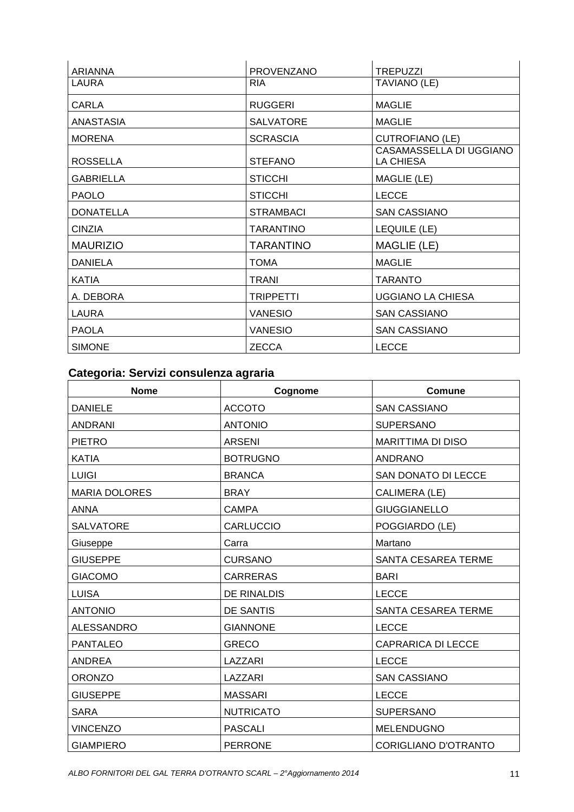| ARIANNA          | <b>PROVENZANO</b> | <b>TREPUZZI</b>                      |
|------------------|-------------------|--------------------------------------|
| LAURA            | <b>RIA</b>        | TAVIANO (LE)                         |
| CARLA            | <b>RUGGERI</b>    | <b>MAGLIE</b>                        |
| ANASTASIA        | <b>SALVATORE</b>  | MAGLIE                               |
| <b>MORENA</b>    | <b>SCRASCIA</b>   | <b>CUTROFIANO (LE)</b>               |
| <b>ROSSELLA</b>  | <b>STEFANO</b>    | CASAMASSELLA DI UGGIANO<br>LA CHIESA |
| <b>GABRIELLA</b> | <b>STICCHI</b>    | MAGLIE (LE)                          |
| <b>PAOLO</b>     | <b>STICCHI</b>    | <b>LECCE</b>                         |
| <b>DONATELLA</b> | <b>STRAMBACI</b>  | <b>SAN CASSIANO</b>                  |
| <b>CINZIA</b>    | <b>TARANTINO</b>  | LEQUILE (LE)                         |
| <b>MAURIZIO</b>  | TARANTINO         | MAGLIE (LE)                          |
| <b>DANIELA</b>   | TOMA              | <b>MAGLIE</b>                        |
| KATIA            | <b>TRANI</b>      | TARANTO                              |
| A. DEBORA        | <b>TRIPPETTI</b>  | <b>UGGIANO LA CHIESA</b>             |
| LAURA            | <b>VANESIO</b>    | <b>SAN CASSIANO</b>                  |
| PAOLA            | <b>VANESIO</b>    | <b>SAN CASSIANO</b>                  |
| <b>SIMONE</b>    | <b>ZECCA</b>      | LECCE                                |

### **Categoria: Servizi consulenza agraria**

| <b>Nome</b>          | Cognome            | Comune                      |
|----------------------|--------------------|-----------------------------|
| <b>DANIELE</b>       | <b>ACCOTO</b>      | <b>SAN CASSIANO</b>         |
| <b>ANDRANI</b>       | <b>ANTONIO</b>     | <b>SUPERSANO</b>            |
| <b>PIETRO</b>        | <b>ARSENI</b>      | <b>MARITTIMA DI DISO</b>    |
| <b>KATIA</b>         | <b>BOTRUGNO</b>    | <b>ANDRANO</b>              |
| <b>LUIGI</b>         | <b>BRANCA</b>      | SAN DONATO DI LECCE         |
| <b>MARIA DOLORES</b> | <b>BRAY</b>        | CALIMERA (LE)               |
| <b>ANNA</b>          | <b>CAMPA</b>       | <b>GIUGGIANELLO</b>         |
| <b>SALVATORE</b>     | <b>CARLUCCIO</b>   | POGGIARDO (LE)              |
| Giuseppe             | Carra              | Martano                     |
| <b>GIUSEPPE</b>      | <b>CURSANO</b>     | SANTA CESAREA TERME         |
| <b>GIACOMO</b>       | <b>CARRERAS</b>    | <b>BARI</b>                 |
| <b>LUISA</b>         | <b>DE RINALDIS</b> | <b>LECCE</b>                |
| <b>ANTONIO</b>       | DE SANTIS          | <b>SANTA CESAREA TERME</b>  |
| <b>ALESSANDRO</b>    | <b>GIANNONE</b>    | <b>LECCE</b>                |
| <b>PANTALEO</b>      | <b>GRECO</b>       | <b>CAPRARICA DI LECCE</b>   |
| <b>ANDREA</b>        | LAZZARI            | <b>LECCE</b>                |
| <b>ORONZO</b>        | LAZZARI            | <b>SAN CASSIANO</b>         |
| <b>GIUSEPPE</b>      | <b>MASSARI</b>     | <b>LECCE</b>                |
| <b>SARA</b>          | <b>NUTRICATO</b>   | <b>SUPERSANO</b>            |
| <b>VINCENZO</b>      | <b>PASCALI</b>     | <b>MELENDUGNO</b>           |
| <b>GIAMPIERO</b>     | <b>PERRONE</b>     | <b>CORIGLIANO D'OTRANTO</b> |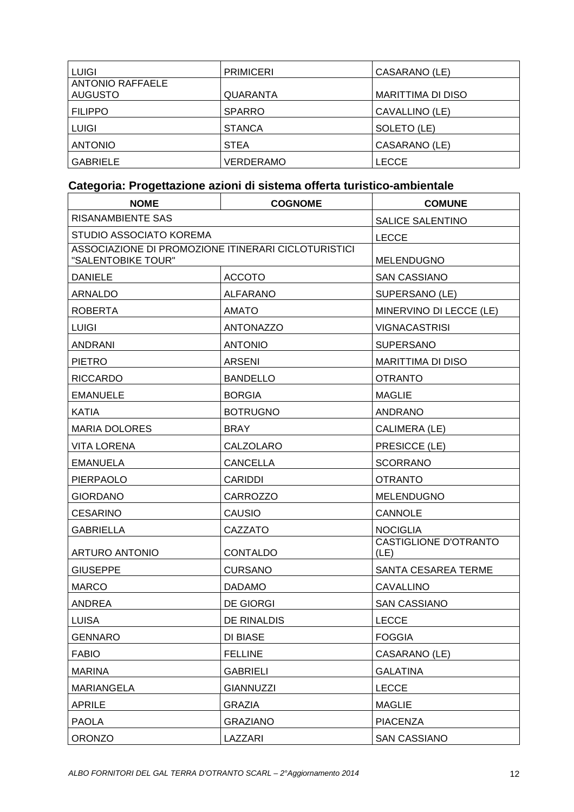| <b>LUIGI</b>                              | <b>PRIMICERI</b> | CASARANO (LE)            |
|-------------------------------------------|------------------|--------------------------|
| <b>ANTONIO RAFFAELE</b><br><b>AUGUSTO</b> | <b>QUARANTA</b>  | <b>MARITTIMA DI DISO</b> |
| <b>FILIPPO</b>                            | <b>SPARRO</b>    | CAVALLINO (LE)           |
| <b>LUIGI</b>                              | <b>STANCA</b>    | SOLETO (LE)              |
| <b>ANTONIO</b>                            | <b>STEA</b>      | CASARANO (LE)            |
| <b>GABRIELE</b>                           | VERDERAMO        | LECCE                    |

### **Categoria: Progettazione azioni di sistema offerta turistico-ambientale**

| <b>NOME</b>                                                               | <b>COGNOME</b>   | <b>COMUNE</b>                        |
|---------------------------------------------------------------------------|------------------|--------------------------------------|
| <b>RISANAMBIENTE SAS</b>                                                  |                  |                                      |
| STUDIO ASSOCIATO KOREMA                                                   |                  | <b>LECCE</b>                         |
| ASSOCIAZIONE DI PROMOZIONE ITINERARI CICLOTURISTICI<br>"SALENTOBIKE TOUR" |                  | <b>MELENDUGNO</b>                    |
| <b>DANIELE</b>                                                            | <b>ACCOTO</b>    | <b>SAN CASSIANO</b>                  |
| ARNALDO                                                                   | <b>ALFARANO</b>  | SUPERSANO (LE)                       |
| <b>ROBERTA</b>                                                            | <b>AMATO</b>     | MINERVINO DI LECCE (LE)              |
| <b>LUIGI</b>                                                              | <b>ANTONAZZO</b> | <b>VIGNACASTRISI</b>                 |
| ANDRANI                                                                   | <b>ANTONIO</b>   | <b>SUPERSANO</b>                     |
| <b>PIETRO</b>                                                             | <b>ARSENI</b>    | <b>MARITTIMA DI DISO</b>             |
| <b>RICCARDO</b>                                                           | <b>BANDELLO</b>  | <b>OTRANTO</b>                       |
| <b>EMANUELE</b>                                                           | <b>BORGIA</b>    | <b>MAGLIE</b>                        |
| <b>KATIA</b>                                                              | <b>BOTRUGNO</b>  | <b>ANDRANO</b>                       |
| <b>MARIA DOLORES</b>                                                      | <b>BRAY</b>      | CALIMERA (LE)                        |
| <b>VITA LORENA</b>                                                        | CALZOLARO        | PRESICCE (LE)                        |
| EMANUELA                                                                  | <b>CANCELLA</b>  | <b>SCORRANO</b>                      |
| PIERPAOLO                                                                 | <b>CARIDDI</b>   | <b>OTRANTO</b>                       |
| <b>GIORDANO</b>                                                           | <b>CARROZZO</b>  | <b>MELENDUGNO</b>                    |
| CESARINO                                                                  | <b>CAUSIO</b>    | <b>CANNOLE</b>                       |
| <b>GABRIELLA</b>                                                          | CAZZATO          | <b>NOCIGLIA</b>                      |
| <b>ARTURO ANTONIO</b>                                                     | <b>CONTALDO</b>  | <b>CASTIGLIONE D'OTRANTO</b><br>(LE) |
| <b>GIUSEPPE</b>                                                           | <b>CURSANO</b>   | SANTA CESAREA TERME                  |
| <b>MARCO</b>                                                              | <b>DADAMO</b>    | <b>CAVALLINO</b>                     |
| ANDREA                                                                    | <b>DE GIORGI</b> | <b>SAN CASSIANO</b>                  |
| <b>LUISA</b>                                                              | DE RINALDIS      | LECCE                                |
| <b>GENNARO</b>                                                            | <b>DI BIASE</b>  | <b>FOGGIA</b>                        |
| <b>FABIO</b>                                                              | <b>FELLINE</b>   | CASARANO (LE)                        |
| <b>MARINA</b>                                                             | <b>GABRIELI</b>  | <b>GALATINA</b>                      |
| <b>MARIANGELA</b>                                                         | <b>GIANNUZZI</b> | <b>LECCE</b>                         |
| <b>APRILE</b>                                                             | <b>GRAZIA</b>    | <b>MAGLIE</b>                        |
| <b>PAOLA</b>                                                              | <b>GRAZIANO</b>  | <b>PIACENZA</b>                      |
| ORONZO                                                                    | LAZZARI          | <b>SAN CASSIANO</b>                  |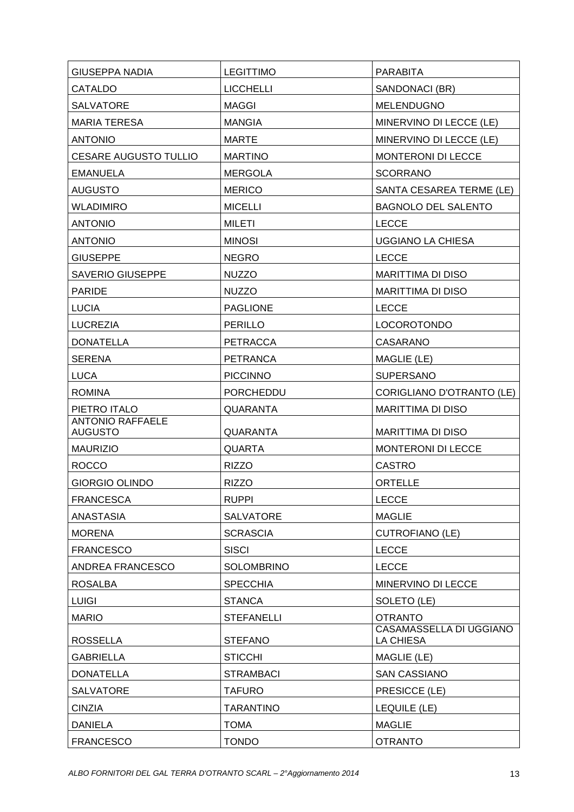| <b>GIUSEPPA NADIA</b>                     | <b>LEGITTIMO</b>  | <b>PARABITA</b>                      |
|-------------------------------------------|-------------------|--------------------------------------|
| <b>CATALDO</b>                            | <b>LICCHELLI</b>  | SANDONACI (BR)                       |
| <b>SALVATORE</b>                          | <b>MAGGI</b>      | MELENDUGNO                           |
| <b>MARIA TERESA</b>                       | <b>MANGIA</b>     | MINERVINO DI LECCE (LE)              |
| <b>ANTONIO</b>                            | <b>MARTE</b>      | MINERVINO DI LECCE (LE)              |
| <b>CESARE AUGUSTO TULLIO</b>              | <b>MARTINO</b>    | MONTERONI DI LECCE                   |
| <b>EMANUELA</b>                           | <b>MERGOLA</b>    | <b>SCORRANO</b>                      |
| <b>AUGUSTO</b>                            | <b>MERICO</b>     | SANTA CESAREA TERME (LE)             |
| <b>WLADIMIRO</b>                          | <b>MICELLI</b>    | <b>BAGNOLO DEL SALENTO</b>           |
| <b>ANTONIO</b>                            | <b>MILETI</b>     | <b>LECCE</b>                         |
| <b>ANTONIO</b>                            | <b>MINOSI</b>     | <b>UGGIANO LA CHIESA</b>             |
| <b>GIUSEPPE</b>                           | <b>NEGRO</b>      | <b>LECCE</b>                         |
| <b>SAVERIO GIUSEPPE</b>                   | <b>NUZZO</b>      | <b>MARITTIMA DI DISO</b>             |
| <b>PARIDE</b>                             | <b>NUZZO</b>      | <b>MARITTIMA DI DISO</b>             |
| <b>LUCIA</b>                              | <b>PAGLIONE</b>   | <b>LECCE</b>                         |
| <b>LUCREZIA</b>                           | <b>PERILLO</b>    | LOCOROTONDO                          |
| <b>DONATELLA</b>                          | <b>PETRACCA</b>   | CASARANO                             |
| <b>SERENA</b>                             | <b>PETRANCA</b>   | MAGLIE (LE)                          |
| <b>LUCA</b>                               | <b>PICCINNO</b>   | <b>SUPERSANO</b>                     |
| <b>ROMINA</b>                             | <b>PORCHEDDU</b>  | CORIGLIANO D'OTRANTO (LE)            |
| PIETRO ITALO                              | <b>QUARANTA</b>   | <b>MARITTIMA DI DISO</b>             |
| <b>ANTONIO RAFFAELE</b><br><b>AUGUSTO</b> | QUARANTA          | <b>MARITTIMA DI DISO</b>             |
| <b>MAURIZIO</b>                           | <b>QUARTA</b>     | <b>MONTERONI DI LECCE</b>            |
| <b>ROCCO</b>                              | <b>RIZZO</b>      | <b>CASTRO</b>                        |
| GIORGIO OLINDO                            | <b>RIZZO</b>      | ORTELLE                              |
| <b>FRANCESCA</b>                          | <b>RUPPI</b>      | <b>LECCE</b>                         |
| <b>ANASTASIA</b>                          | <b>SALVATORE</b>  | <b>MAGLIE</b>                        |
| <b>MORENA</b>                             | <b>SCRASCIA</b>   | <b>CUTROFIANO (LE)</b>               |
| <b>FRANCESCO</b>                          | <b>SISCI</b>      | <b>LECCE</b>                         |
| ANDREA FRANCESCO                          | <b>SOLOMBRINO</b> | <b>LECCE</b>                         |
| <b>ROSALBA</b>                            | <b>SPECCHIA</b>   | MINERVINO DI LECCE                   |
| <b>LUIGI</b>                              | <b>STANCA</b>     | SOLETO (LE)                          |
| <b>MARIO</b>                              | <b>STEFANELLI</b> | <b>OTRANTO</b>                       |
| <b>ROSSELLA</b>                           | <b>STEFANO</b>    | CASAMASSELLA DI UGGIANO<br>LA CHIESA |
| <b>GABRIELLA</b>                          | <b>STICCHI</b>    | MAGLIE (LE)                          |
| <b>DONATELLA</b>                          | <b>STRAMBACI</b>  | <b>SAN CASSIANO</b>                  |
| <b>SALVATORE</b>                          | <b>TAFURO</b>     | PRESICCE (LE)                        |
| <b>CINZIA</b>                             | <b>TARANTINO</b>  | LEQUILE (LE)                         |
| <b>DANIELA</b>                            | <b>TOMA</b>       | <b>MAGLIE</b>                        |
| <b>FRANCESCO</b>                          | <b>TONDO</b>      | <b>OTRANTO</b>                       |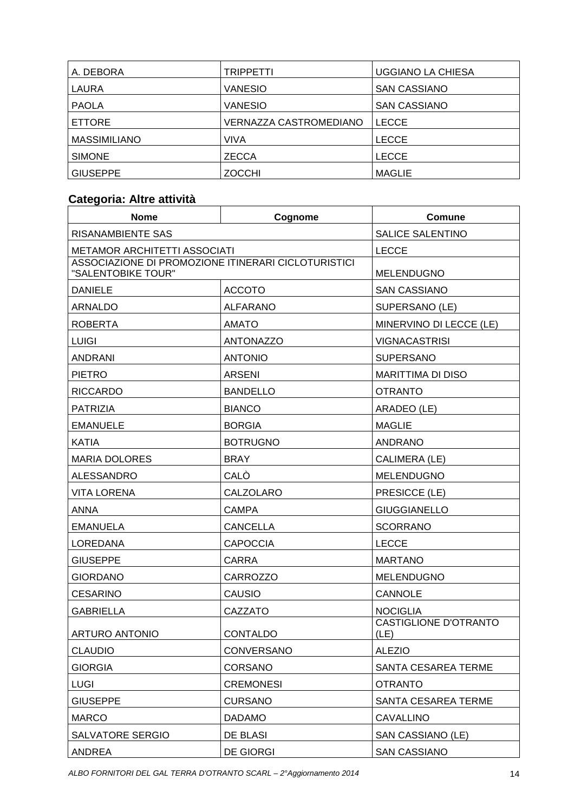| A. DEBORA           | <b>TRIPPETTI</b>              | <b>UGGIANO LA CHIESA</b> |
|---------------------|-------------------------------|--------------------------|
| LAURA               | <b>VANESIO</b>                | <b>SAN CASSIANO</b>      |
| <b>PAOLA</b>        | <b>VANESIO</b>                | <b>SAN CASSIANO</b>      |
| <b>ETTORE</b>       | <b>VERNAZZA CASTROMEDIANO</b> | LECCE                    |
| <b>MASSIMILIANO</b> | VIVA                          | <b>LECCE</b>             |
| <b>SIMONE</b>       | <b>ZECCA</b>                  | <b>LECCE</b>             |
| <b>GIUSEPPE</b>     | <b>ZOCCHI</b>                 | <b>MAGLIE</b>            |

# **Categoria: Altre attività**

| <b>Nome</b>                                                               | Cognome          | Comune                               |
|---------------------------------------------------------------------------|------------------|--------------------------------------|
| RISANAMBIENTE SAS                                                         |                  | <b>SALICE SALENTINO</b>              |
| <b>METAMOR ARCHITETTI ASSOCIATI</b>                                       |                  | <b>LECCE</b>                         |
| ASSOCIAZIONE DI PROMOZIONE ITINERARI CICLOTURISTICI<br>"SALENTOBIKE TOUR" |                  | <b>MELENDUGNO</b>                    |
| <b>DANIELE</b>                                                            | <b>ACCOTO</b>    | <b>SAN CASSIANO</b>                  |
| ARNALDO                                                                   | <b>ALFARANO</b>  | SUPERSANO (LE)                       |
| <b>ROBERTA</b>                                                            | <b>AMATO</b>     | MINERVINO DI LECCE (LE)              |
| <b>LUIGI</b>                                                              | <b>ANTONAZZO</b> | <b>VIGNACASTRISI</b>                 |
| <b>ANDRANI</b>                                                            | <b>ANTONIO</b>   | <b>SUPERSANO</b>                     |
| <b>PIETRO</b>                                                             | <b>ARSENI</b>    | <b>MARITTIMA DI DISO</b>             |
| <b>RICCARDO</b>                                                           | <b>BANDELLO</b>  | <b>OTRANTO</b>                       |
| <b>PATRIZIA</b>                                                           | <b>BIANCO</b>    | ARADEO (LE)                          |
| <b>EMANUELE</b>                                                           | <b>BORGIA</b>    | <b>MAGLIE</b>                        |
| <b>KATIA</b>                                                              | <b>BOTRUGNO</b>  | <b>ANDRANO</b>                       |
| <b>MARIA DOLORES</b>                                                      | <b>BRAY</b>      | CALIMERA (LE)                        |
| <b>ALESSANDRO</b>                                                         | CALÒ             | <b>MELENDUGNO</b>                    |
| <b>VITA LORENA</b>                                                        | CALZOLARO        | PRESICCE (LE)                        |
| ANNA                                                                      | <b>CAMPA</b>     | <b>GIUGGIANELLO</b>                  |
| <b>EMANUELA</b>                                                           | <b>CANCELLA</b>  | <b>SCORRANO</b>                      |
| LOREDANA                                                                  | <b>CAPOCCIA</b>  | <b>LECCE</b>                         |
| <b>GIUSEPPE</b>                                                           | <b>CARRA</b>     | <b>MARTANO</b>                       |
| <b>GIORDANO</b>                                                           | <b>CARROZZO</b>  | <b>MELENDUGNO</b>                    |
| <b>CESARINO</b>                                                           | CAUSIO           | <b>CANNOLE</b>                       |
| <b>GABRIELLA</b>                                                          | CAZZATO          | <b>NOCIGLIA</b>                      |
| <b>ARTURO ANTONIO</b>                                                     | <b>CONTALDO</b>  | <b>CASTIGLIONE D'OTRANTO</b><br>(LE) |
| <b>CLAUDIO</b>                                                            | CONVERSANO       | <b>ALEZIO</b>                        |
| <b>GIORGIA</b>                                                            | <b>CORSANO</b>   | SANTA CESAREA TERME                  |
| <b>LUGI</b>                                                               | <b>CREMONESI</b> | <b>OTRANTO</b>                       |
| <b>GIUSEPPE</b>                                                           | <b>CURSANO</b>   | SANTA CESAREA TERME                  |
| <b>MARCO</b>                                                              | <b>DADAMO</b>    | <b>CAVALLINO</b>                     |
| SALVATORE SERGIO                                                          | DE BLASI         | SAN CASSIANO (LE)                    |
| <b>ANDREA</b>                                                             | <b>DE GIORGI</b> | <b>SAN CASSIANO</b>                  |

ALBO FORNITORI DEL GAL TERRA D'OTRANTO SCARL – 2°Aggiornamento 2014 14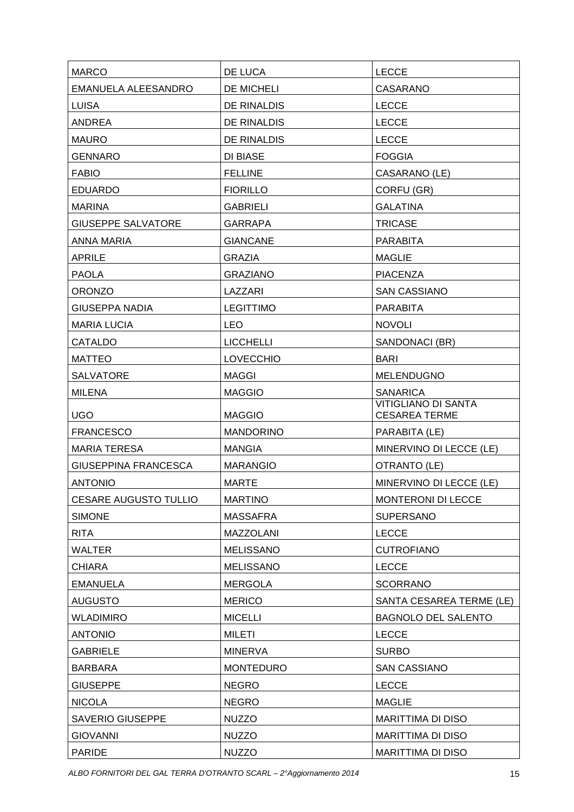| <b>MARCO</b>                 | DE LUCA            | <b>LECCE</b>                                       |
|------------------------------|--------------------|----------------------------------------------------|
| <b>EMANUELA ALEESANDRO</b>   | DE MICHELI         | <b>CASARANO</b>                                    |
| <b>LUISA</b>                 | <b>DE RINALDIS</b> | <b>LECCE</b>                                       |
| <b>ANDREA</b>                | DE RINALDIS        | <b>LECCE</b>                                       |
| <b>MAURO</b>                 | DE RINALDIS        | <b>LECCE</b>                                       |
| <b>GENNARO</b>               | <b>DI BIASE</b>    | <b>FOGGIA</b>                                      |
| <b>FABIO</b>                 | <b>FELLINE</b>     | CASARANO (LE)                                      |
| <b>EDUARDO</b>               | <b>FIORILLO</b>    | CORFU (GR)                                         |
| <b>MARINA</b>                | <b>GABRIELI</b>    | <b>GALATINA</b>                                    |
| <b>GIUSEPPE SALVATORE</b>    | <b>GARRAPA</b>     | <b>TRICASE</b>                                     |
| <b>ANNA MARIA</b>            | <b>GIANCANE</b>    | <b>PARABITA</b>                                    |
| <b>APRILE</b>                | <b>GRAZIA</b>      | <b>MAGLIE</b>                                      |
| <b>PAOLA</b>                 | <b>GRAZIANO</b>    | <b>PIACENZA</b>                                    |
| <b>ORONZO</b>                | LAZZARI            | <b>SAN CASSIANO</b>                                |
| <b>GIUSEPPA NADIA</b>        | <b>LEGITTIMO</b>   | <b>PARABITA</b>                                    |
| <b>MARIA LUCIA</b>           | <b>LEO</b>         | <b>NOVOLI</b>                                      |
| <b>CATALDO</b>               | <b>LICCHELLI</b>   | SANDONACI (BR)                                     |
| <b>MATTEO</b>                | <b>LOVECCHIO</b>   | <b>BARI</b>                                        |
| <b>SALVATORE</b>             | <b>MAGGI</b>       | <b>MELENDUGNO</b>                                  |
| <b>MILENA</b>                | <b>MAGGIO</b>      | <b>SANARICA</b>                                    |
| <b>UGO</b>                   | <b>MAGGIO</b>      | <b>VITIGLIANO DI SANTA</b><br><b>CESAREA TERME</b> |
| <b>FRANCESCO</b>             | <b>MANDORINO</b>   | PARABITA (LE)                                      |
| <b>MARIA TERESA</b>          | <b>MANGIA</b>      | MINERVINO DI LECCE (LE)                            |
| GIUSEPPINA FRANCESCA         | <b>MARANGIO</b>    | OTRANTO (LE)                                       |
| <b>ANTONIO</b>               | <b>MARTE</b>       | MINERVINO DI LECCE (LE)                            |
| <b>CESARE AUGUSTO TULLIO</b> | <b>MARTINO</b>     | MONTERONI DI LECCE                                 |
| <b>SIMONE</b>                | <b>MASSAFRA</b>    | <b>SUPERSANO</b>                                   |
| <b>RITA</b>                  | <b>MAZZOLANI</b>   | <b>LECCE</b>                                       |
| <b>WALTER</b>                | <b>MELISSANO</b>   | <b>CUTROFIANO</b>                                  |
| <b>CHIARA</b>                | <b>MELISSANO</b>   | <b>LECCE</b>                                       |
| <b>EMANUELA</b>              | <b>MERGOLA</b>     | <b>SCORRANO</b>                                    |
| <b>AUGUSTO</b>               | <b>MERICO</b>      | SANTA CESAREA TERME (LE)                           |
| <b>WLADIMIRO</b>             | <b>MICELLI</b>     | <b>BAGNOLO DEL SALENTO</b>                         |
| <b>ANTONIO</b>               | <b>MILETI</b>      | <b>LECCE</b>                                       |
| <b>GABRIELE</b>              | <b>MINERVA</b>     | <b>SURBO</b>                                       |
| <b>BARBARA</b>               | <b>MONTEDURO</b>   | <b>SAN CASSIANO</b>                                |
| <b>GIUSEPPE</b>              | <b>NEGRO</b>       | <b>LECCE</b>                                       |
| <b>NICOLA</b>                | <b>NEGRO</b>       | <b>MAGLIE</b>                                      |
| <b>SAVERIO GIUSEPPE</b>      | <b>NUZZO</b>       | MARITTIMA DI DISO                                  |
| <b>GIOVANNI</b>              | <b>NUZZO</b>       | MARITTIMA DI DISO                                  |
| <b>PARIDE</b>                | <b>NUZZO</b>       | MARITTIMA DI DISO                                  |
|                              |                    |                                                    |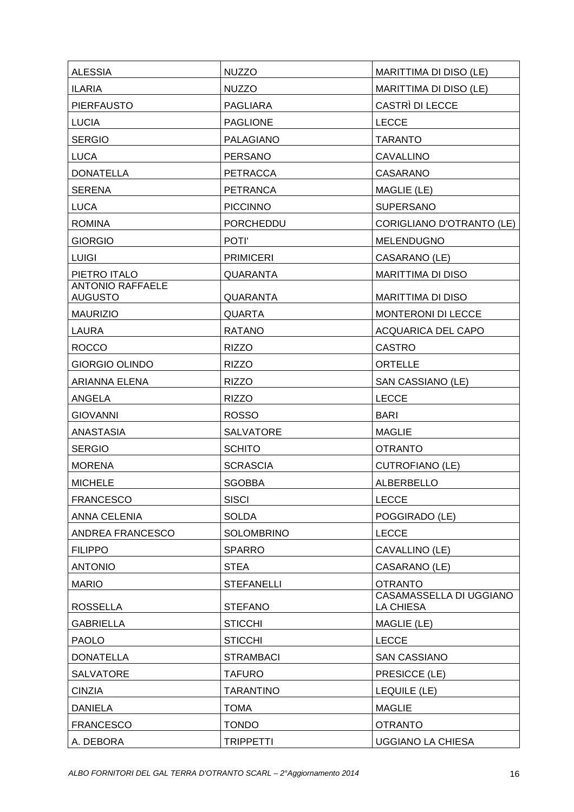| <b>ALESSIA</b>                            | <b>NUZZO</b>      | MARITTIMA DI DISO (LE)                             |
|-------------------------------------------|-------------------|----------------------------------------------------|
| <b>ILARIA</b>                             | <b>NUZZO</b>      | MARITTIMA DI DISO (LE)                             |
| <b>PIERFAUSTO</b>                         | <b>PAGLIARA</b>   | CASTRÌ DI LECCE                                    |
| <b>LUCIA</b>                              | <b>PAGLIONE</b>   | <b>LECCE</b>                                       |
| <b>SERGIO</b>                             | <b>PALAGIANO</b>  | <b>TARANTO</b>                                     |
| <b>LUCA</b>                               | <b>PERSANO</b>    | <b>CAVALLINO</b>                                   |
| <b>DONATELLA</b>                          | <b>PETRACCA</b>   | CASARANO                                           |
| <b>SERENA</b>                             | <b>PETRANCA</b>   | MAGLIE (LE)                                        |
| <b>LUCA</b>                               | <b>PICCINNO</b>   | <b>SUPERSANO</b>                                   |
| <b>ROMINA</b>                             | <b>PORCHEDDU</b>  | CORIGLIANO D'OTRANTO (LE)                          |
| <b>GIORGIO</b>                            | POTI'             | <b>MELENDUGNO</b>                                  |
| <b>LUIGI</b>                              | <b>PRIMICERI</b>  | CASARANO (LE)                                      |
| PIETRO ITALO                              | QUARANTA          | <b>MARITTIMA DI DISO</b>                           |
| <b>ANTONIO RAFFAELE</b><br><b>AUGUSTO</b> | <b>QUARANTA</b>   | <b>MARITTIMA DI DISO</b>                           |
| <b>MAURIZIO</b>                           | <b>QUARTA</b>     | MONTERONI DI LECCE                                 |
| <b>LAURA</b>                              | <b>RATANO</b>     | <b>ACQUARICA DEL CAPO</b>                          |
| <b>ROCCO</b>                              | <b>RIZZO</b>      | <b>CASTRO</b>                                      |
| <b>GIORGIO OLINDO</b>                     | <b>RIZZO</b>      | <b>ORTELLE</b>                                     |
| ARIANNA ELENA                             | <b>RIZZO</b>      | SAN CASSIANO (LE)                                  |
| ANGELA                                    | <b>RIZZO</b>      | <b>LECCE</b>                                       |
| <b>GIOVANNI</b>                           | <b>ROSSO</b>      | <b>BARI</b>                                        |
| <b>ANASTASIA</b>                          | <b>SALVATORE</b>  | MAGLIE                                             |
| <b>SERGIO</b>                             | <b>SCHITO</b>     | <b>OTRANTO</b>                                     |
| <b>MORENA</b>                             | <b>SCRASCIA</b>   | <b>CUTROFIANO (LE)</b>                             |
| <b>MICHELE</b>                            | <b>SGOBBA</b>     | ALBERBELLO                                         |
| <b>FRANCESCO</b>                          |                   |                                                    |
|                                           | <b>SISCI</b>      | <b>LECCE</b>                                       |
| <b>ANNA CELENIA</b>                       | <b>SOLDA</b>      | POGGIRADO (LE)                                     |
| ANDREA FRANCESCO                          | <b>SOLOMBRINO</b> | <b>LECCE</b>                                       |
| <b>FILIPPO</b>                            | <b>SPARRO</b>     | CAVALLINO (LE)                                     |
| <b>ANTONIO</b>                            | <b>STEA</b>       | CASARANO (LE)                                      |
| <b>MARIO</b>                              | <b>STEFANELLI</b> | <b>OTRANTO</b>                                     |
| <b>ROSSELLA</b>                           | <b>STEFANO</b>    | <b>CASAMASSELLA DI UGGIANO</b><br><b>LA CHIESA</b> |
| <b>GABRIELLA</b>                          | <b>STICCHI</b>    | MAGLIE (LE)                                        |
| <b>PAOLO</b>                              | <b>STICCHI</b>    | <b>LECCE</b>                                       |
| <b>DONATELLA</b>                          | <b>STRAMBACI</b>  | <b>SAN CASSIANO</b>                                |
| <b>SALVATORE</b>                          | <b>TAFURO</b>     | PRESICCE (LE)                                      |
| <b>CINZIA</b>                             | <b>TARANTINO</b>  | LEQUILE (LE)                                       |
| <b>DANIELA</b>                            | <b>TOMA</b>       | <b>MAGLIE</b>                                      |
| <b>FRANCESCO</b>                          | <b>TONDO</b>      | <b>OTRANTO</b>                                     |